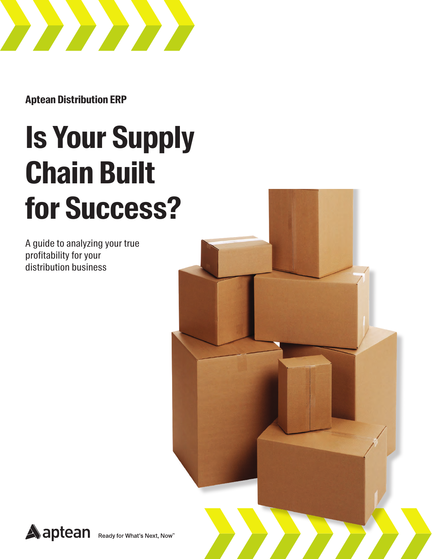

**Aptean Distribution ERP**

# **Is Your Supply Chain Built for Success?**

A guide to analyzing your true profitability for your distribution business



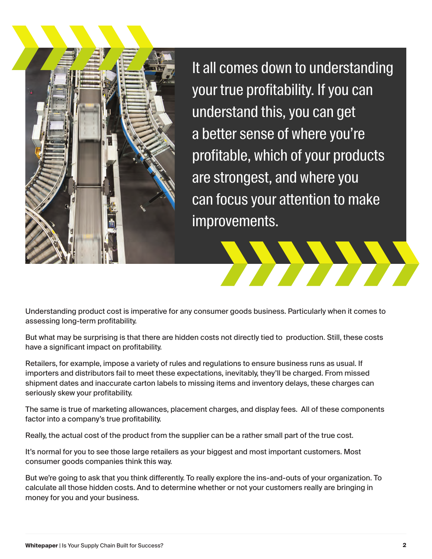

It all comes down to understanding your true profitability. If you can understand this, you can get a better sense of where you're profitable, which of your products are strongest, and where you can focus your attention to make improvements.



But what may be surprising is that there are hidden costs not directly tied to production. Still, these costs have a significant impact on profitability.

Retailers, for example, impose a variety of rules and regulations to ensure business runs as usual. If importers and distributors fail to meet these expectations, inevitably, they'll be charged. From missed shipment dates and inaccurate carton labels to missing items and inventory delays, these charges can seriously skew your profitability.

The same is true of marketing allowances, placement charges, and display fees. All of these components factor into a company's true profitability.

Really, the actual cost of the product from the supplier can be a rather small part of the true cost.

It's normal for you to see those large retailers as your biggest and most important customers. Most consumer goods companies think this way.

But we're going to ask that you think differently. To really explore the ins-and-outs of your organization. To calculate all those hidden costs. And to determine whether or not your customers really are bringing in money for you and your business.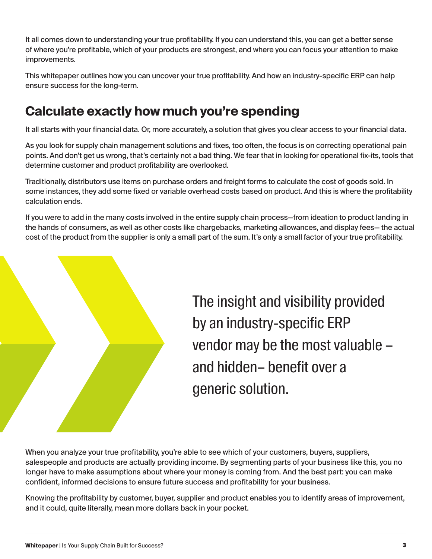It all comes down to understanding your true profitability. If you can understand this, you can get a better sense of where you're profitable, which of your products are strongest, and where you can focus your attention to make improvements.

This whitepaper outlines how you can uncover your true profitability. And how an industry-specific ERP can help ensure success for the long-term.

#### **Calculate exactly how much you're spending**

It all starts with your financial data. Or, more accurately, a solution that gives you clear access to your financial data.

As you look for supply chain management solutions and fixes, too often, the focus is on correcting operational pain points. And don't get us wrong, that's certainly not a bad thing. We fear that in looking for operational fix-its, tools that determine customer and product profitability are overlooked.

Traditionally, distributors use items on purchase orders and freight forms to calculate the cost of goods sold. In some instances, they add some fixed or variable overhead costs based on product. And this is where the profitability calculation ends.

If you were to add in the many costs involved in the entire supply chain process—from ideation to product landing in the hands of consumers, as well as other costs like chargebacks, marketing allowances, and display fees— the actual cost of the product from the supplier is only a small part of the sum. It's only a small factor of your true profitability.



The insight and visibility provided by an industry-specific ERP vendor may be the most valuable – and hidden– benefit over a generic solution.

When you analyze your true profitability, you're able to see which of your customers, buyers, suppliers, salespeople and products are actually providing income. By segmenting parts of your business like this, you no longer have to make assumptions about where your money is coming from. And the best part: you can make confident, informed decisions to ensure future success and profitability for your business.

Knowing the profitability by customer, buyer, supplier and product enables you to identify areas of improvement, and it could, quite literally, mean more dollars back in your pocket.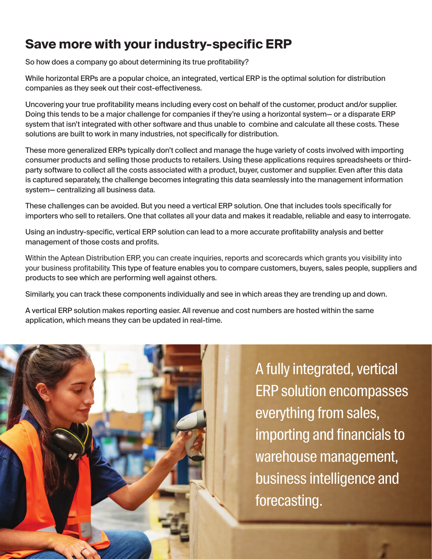### **Save more with your industry-specific ERP**

So how does a company go about determining its true profitability?

While horizontal ERPs are a popular choice, an integrated, vertical ERP is the optimal solution for distribution companies as they seek out their cost-effectiveness.

Uncovering your true profitability means including every cost on behalf of the customer, product and/or supplier. Doing this tends to be a major challenge for companies if they're using a horizontal system— or a disparate ERP system that isn't integrated with other software and thus unable to combine and calculate all these costs. These solutions are built to work in many industries, not specifically for distribution.

These more generalized ERPs typically don't collect and manage the huge variety of costs involved with importing consumer products and selling those products to retailers. Using these applications requires spreadsheets or thirdparty software to collect all the costs associated with a product, buyer, customer and supplier. Even after this data is captured separately, the challenge becomes integrating this data seamlessly into the management information system— centralizing all business data.

These challenges can be avoided. But you need a vertical ERP solution. One that includes tools specifically for importers who sell to retailers. One that collates all your data and makes it readable, reliable and easy to interrogate.

Using an industry-specific, vertical ERP solution can lead to a more accurate profitability analysis and better management of those costs and profits.

Within the Aptean Distribution ERP, you can create inquiries, reports and scorecards which grants you visibility into your business profitability. This type of feature enables you to compare customers, buyers, sales people, suppliers and products to see which are performing well against others.

Similarly, you can track these components individually and see in which areas they are trending up and down.

A vertical ERP solution makes reporting easier. All revenue and cost numbers are hosted within the same application, which means they can be updated in real-time.



A fully integrated, vertical ERP solution encompasses everything from sales, importing and financials to warehouse management, business intelligence and forecasting.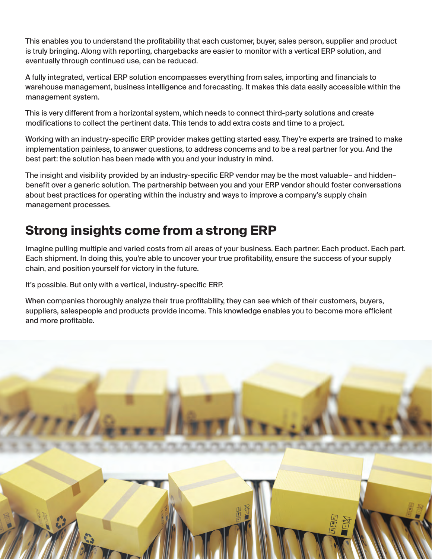This enables you to understand the profitability that each customer, buyer, sales person, supplier and product is truly bringing. Along with reporting, chargebacks are easier to monitor with a vertical ERP solution, and eventually through continued use, can be reduced.

A fully integrated, vertical ERP solution encompasses everything from sales, importing and financials to warehouse management, business intelligence and forecasting. It makes this data easily accessible within the management system.

This is very different from a horizontal system, which needs to connect third-party solutions and create modifications to collect the pertinent data. This tends to add extra costs and time to a project.

Working with an industry-specific ERP provider makes getting started easy. They're experts are trained to make implementation painless, to answer questions, to address concerns and to be a real partner for you. And the best part: the solution has been made with you and your industry in mind.

The insight and visibility provided by an industry-specific ERP vendor may be the most valuable– and hidden– benefit over a generic solution. The partnership between you and your ERP vendor should foster conversations about best practices for operating within the industry and ways to improve a company's supply chain management processes.

#### **Strong insights come from a strong ERP**

Imagine pulling multiple and varied costs from all areas of your business. Each partner. Each product. Each part. Each shipment. In doing this, you're able to uncover your true profitability, ensure the success of your supply chain, and position yourself for victory in the future.

It's possible. But only with a vertical, industry-specific ERP.

When companies thoroughly analyze their true profitability, they can see which of their customers, buyers, suppliers, salespeople and products provide income. This knowledge enables you to become more efficient and more profitable.